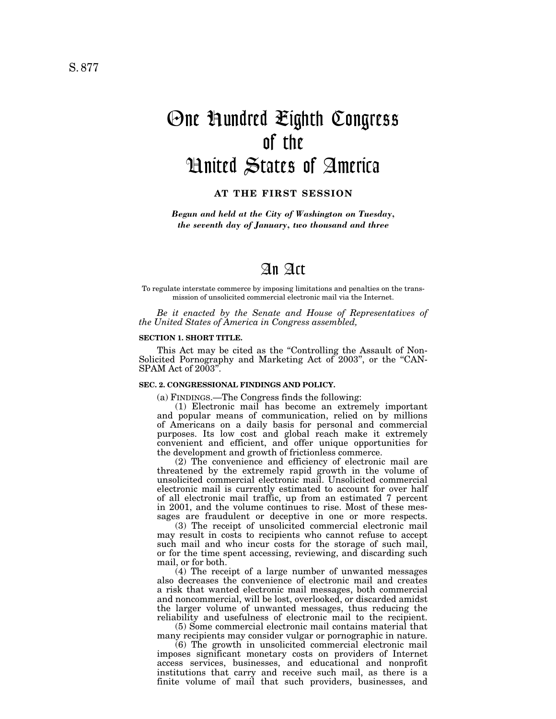# One Hundred Eighth Congress of the United States of America

**AT THE FIRST SESSION**

*Begun and held at the City of Washington on Tuesday, the seventh day of January, two thousand and three*

## An Act

To regulate interstate commerce by imposing limitations and penalties on the transmission of unsolicited commercial electronic mail via the Internet.

*Be it enacted by the Senate and House of Representatives of the United States of America in Congress assembled,*

#### **SECTION 1. SHORT TITLE.**

This Act may be cited as the "Controlling the Assault of Non-Solicited Pornography and Marketing Act of 2003", or the "CAN-SPAM Act of 2003".

#### **SEC. 2. CONGRESSIONAL FINDINGS AND POLICY.**

(a) FINDINGS.—The Congress finds the following:

(1) Electronic mail has become an extremely important and popular means of communication, relied on by millions of Americans on a daily basis for personal and commercial purposes. Its low cost and global reach make it extremely convenient and efficient, and offer unique opportunities for the development and growth of frictionless commerce.

(2) The convenience and efficiency of electronic mail are threatened by the extremely rapid growth in the volume of unsolicited commercial electronic mail. Unsolicited commercial electronic mail is currently estimated to account for over half of all electronic mail traffic, up from an estimated 7 percent in 2001, and the volume continues to rise. Most of these messages are fraudulent or deceptive in one or more respects.

(3) The receipt of unsolicited commercial electronic mail may result in costs to recipients who cannot refuse to accept such mail and who incur costs for the storage of such mail, or for the time spent accessing, reviewing, and discarding such mail, or for both.

(4) The receipt of a large number of unwanted messages also decreases the convenience of electronic mail and creates a risk that wanted electronic mail messages, both commercial and noncommercial, will be lost, overlooked, or discarded amidst the larger volume of unwanted messages, thus reducing the reliability and usefulness of electronic mail to the recipient.

(5) Some commercial electronic mail contains material that many recipients may consider vulgar or pornographic in nature.

(6) The growth in unsolicited commercial electronic mail imposes significant monetary costs on providers of Internet access services, businesses, and educational and nonprofit institutions that carry and receive such mail, as there is a finite volume of mail that such providers, businesses, and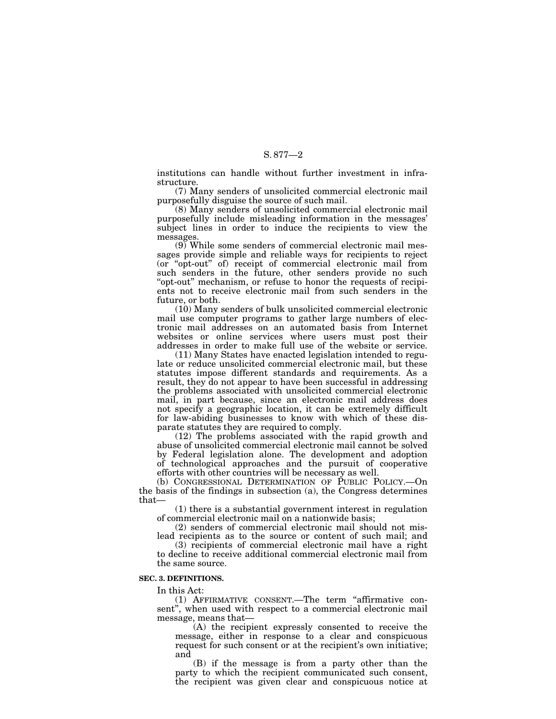institutions can handle without further investment in infrastructure.

(7) Many senders of unsolicited commercial electronic mail purposefully disguise the source of such mail.

(8) Many senders of unsolicited commercial electronic mail purposefully include misleading information in the messages' subject lines in order to induce the recipients to view the messages.

(9) While some senders of commercial electronic mail messages provide simple and reliable ways for recipients to reject (or ''opt-out'' of) receipt of commercial electronic mail from such senders in the future, other senders provide no such "opt-out" mechanism, or refuse to honor the requests of recipients not to receive electronic mail from such senders in the future, or both.

(10) Many senders of bulk unsolicited commercial electronic mail use computer programs to gather large numbers of electronic mail addresses on an automated basis from Internet websites or online services where users must post their addresses in order to make full use of the website or service.

(11) Many States have enacted legislation intended to regulate or reduce unsolicited commercial electronic mail, but these statutes impose different standards and requirements. As a result, they do not appear to have been successful in addressing the problems associated with unsolicited commercial electronic mail, in part because, since an electronic mail address does not specify a geographic location, it can be extremely difficult for law-abiding businesses to know with which of these disparate statutes they are required to comply.

(12) The problems associated with the rapid growth and abuse of unsolicited commercial electronic mail cannot be solved by Federal legislation alone. The development and adoption of technological approaches and the pursuit of cooperative efforts with other countries will be necessary as well.

(b) CONGRESSIONAL DETERMINATION OF PUBLIC POLICY.—On the basis of the findings in subsection (a), the Congress determines that—

(1) there is a substantial government interest in regulation of commercial electronic mail on a nationwide basis;

(2) senders of commercial electronic mail should not mislead recipients as to the source or content of such mail; and

(3) recipients of commercial electronic mail have a right to decline to receive additional commercial electronic mail from the same source.

#### **SEC. 3. DEFINITIONS.**

In this Act:

(1) AFFIRMATIVE CONSENT.—The term ''affirmative consent'', when used with respect to a commercial electronic mail message, means that—

(A) the recipient expressly consented to receive the message, either in response to a clear and conspicuous request for such consent or at the recipient's own initiative; and

(B) if the message is from a party other than the party to which the recipient communicated such consent, the recipient was given clear and conspicuous notice at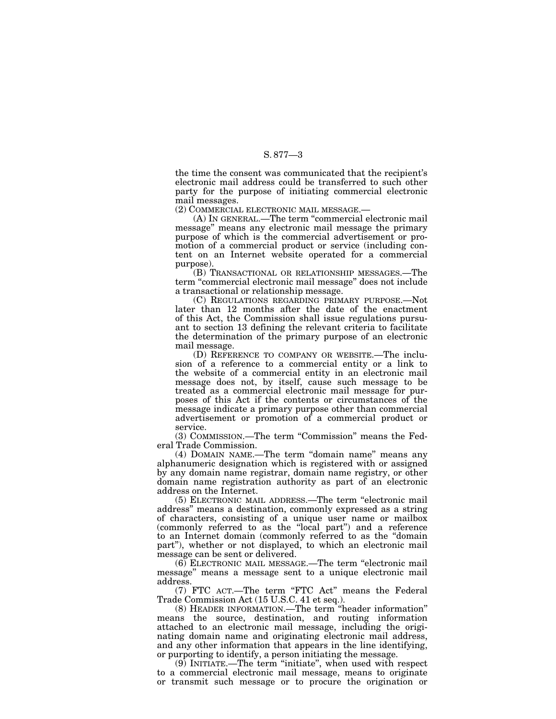the time the consent was communicated that the recipient's electronic mail address could be transferred to such other party for the purpose of initiating commercial electronic mail messages.

(2) COMMERCIAL ELECTRONIC MAIL MESSAGE.—

(A) IN GENERAL.—The term ''commercial electronic mail message'' means any electronic mail message the primary purpose of which is the commercial advertisement or promotion of a commercial product or service (including content on an Internet website operated for a commercial purpose).

(B) TRANSACTIONAL OR RELATIONSHIP MESSAGES.—The term ''commercial electronic mail message'' does not include a transactional or relationship message.

(C) REGULATIONS REGARDING PRIMARY PURPOSE.—Not later than 12 months after the date of the enactment of this Act, the Commission shall issue regulations pursuant to section 13 defining the relevant criteria to facilitate the determination of the primary purpose of an electronic mail message.

(D) REFERENCE TO COMPANY OR WEBSITE.—The inclusion of a reference to a commercial entity or a link to the website of a commercial entity in an electronic mail message does not, by itself, cause such message to be treated as a commercial electronic mail message for purposes of this Act if the contents or circumstances of the message indicate a primary purpose other than commercial advertisement or promotion of a commercial product or service.

(3) COMMISSION.—The term ''Commission'' means the Federal Trade Commission.

(4) DOMAIN NAME.—The term ''domain name'' means any alphanumeric designation which is registered with or assigned by any domain name registrar, domain name registry, or other domain name registration authority as part of an electronic address on the Internet.

(5) ELECTRONIC MAIL ADDRESS.—The term ''electronic mail address'' means a destination, commonly expressed as a string of characters, consisting of a unique user name or mailbox (commonly referred to as the ''local part'') and a reference to an Internet domain (commonly referred to as the ''domain part"), whether or not displayed, to which an electronic mail message can be sent or delivered.

(6) ELECTRONIC MAIL MESSAGE.—The term ''electronic mail message'' means a message sent to a unique electronic mail address.

(7) FTC ACT.—The term ''FTC Act'' means the Federal Trade Commission Act (15 U.S.C. 41 et seq.).

(8) HEADER INFORMATION.—The term ''header information'' means the source, destination, and routing information attached to an electronic mail message, including the originating domain name and originating electronic mail address, and any other information that appears in the line identifying, or purporting to identify, a person initiating the message.

(9) INITIATE.—The term ''initiate'', when used with respect to a commercial electronic mail message, means to originate or transmit such message or to procure the origination or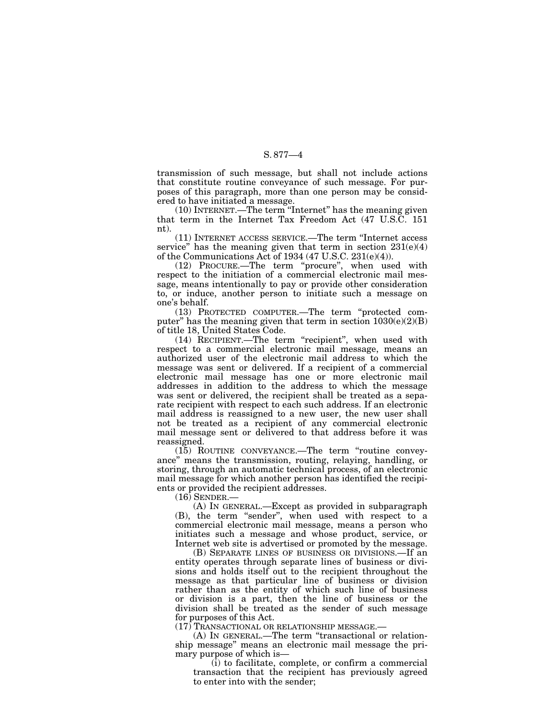transmission of such message, but shall not include actions that constitute routine conveyance of such message. For purposes of this paragraph, more than one person may be considered to have initiated a message.

(10) INTERNET.—The term ''Internet'' has the meaning given that term in the Internet Tax Freedom Act (47 U.S.C. 151 nt).

(11) INTERNET ACCESS SERVICE.—The term ''Internet access service" has the meaning given that term in section  $231(e)(4)$ of the Communications Act of 1934 (47 U.S.C. 231(e)(4)).

(12) PROCURE.—The term ''procure'', when used with respect to the initiation of a commercial electronic mail message, means intentionally to pay or provide other consideration to, or induce, another person to initiate such a message on one's behalf.

(13) PROTECTED COMPUTER.—The term ''protected computer" has the meaning given that term in section  $1030(e)(2)(B)$ of title 18, United States Code.

(14) RECIPIENT.—The term ''recipient'', when used with respect to a commercial electronic mail message, means an authorized user of the electronic mail address to which the message was sent or delivered. If a recipient of a commercial electronic mail message has one or more electronic mail addresses in addition to the address to which the message was sent or delivered, the recipient shall be treated as a separate recipient with respect to each such address. If an electronic mail address is reassigned to a new user, the new user shall not be treated as a recipient of any commercial electronic mail message sent or delivered to that address before it was reassigned.

(15) ROUTINE CONVEYANCE.—The term ''routine conveyance'' means the transmission, routing, relaying, handling, or storing, through an automatic technical process, of an electronic mail message for which another person has identified the recipients or provided the recipient addresses.

(16) SENDER.—

(A) IN GENERAL.—Except as provided in subparagraph (B), the term "sender", when used with respect to a commercial electronic mail message, means a person who initiates such a message and whose product, service, or Internet web site is advertised or promoted by the message.

(B) SEPARATE LINES OF BUSINESS OR DIVISIONS.—If an entity operates through separate lines of business or divisions and holds itself out to the recipient throughout the message as that particular line of business or division rather than as the entity of which such line of business or division is a part, then the line of business or the division shall be treated as the sender of such message for purposes of this Act.

(17) TRANSACTIONAL OR RELATIONSHIP MESSAGE.—

(A) IN GENERAL.—The term "transactional or relationship message'' means an electronic mail message the primary purpose of which is—

(i) to facilitate, complete, or confirm a commercial transaction that the recipient has previously agreed to enter into with the sender;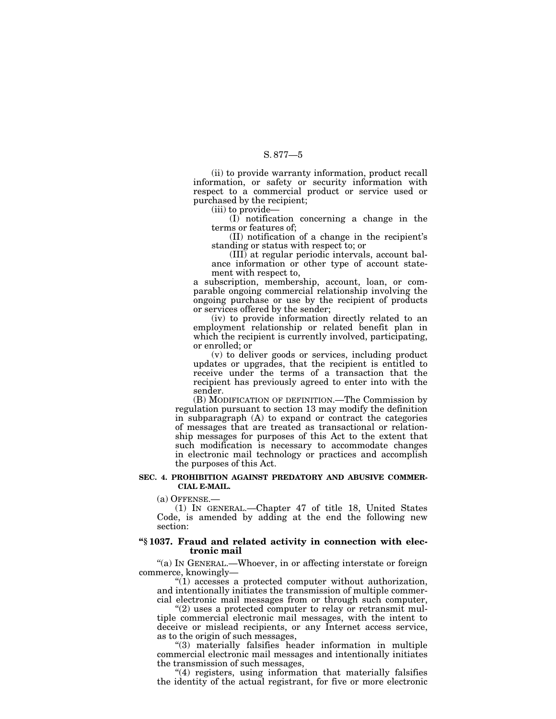(ii) to provide warranty information, product recall information, or safety or security information with respect to a commercial product or service used or purchased by the recipient;

(iii) to provide—

(I) notification concerning a change in the terms or features of;

(II) notification of a change in the recipient's standing or status with respect to; or

(III) at regular periodic intervals, account balance information or other type of account statement with respect to,

a subscription, membership, account, loan, or comparable ongoing commercial relationship involving the ongoing purchase or use by the recipient of products or services offered by the sender;

(iv) to provide information directly related to an employment relationship or related benefit plan in which the recipient is currently involved, participating, or enrolled; or

(v) to deliver goods or services, including product updates or upgrades, that the recipient is entitled to receive under the terms of a transaction that the recipient has previously agreed to enter into with the sender.

(B) MODIFICATION OF DEFINITION.—The Commission by regulation pursuant to section 13 may modify the definition in subparagraph (A) to expand or contract the categories of messages that are treated as transactional or relationship messages for purposes of this Act to the extent that such modification is necessary to accommodate changes in electronic mail technology or practices and accomplish the purposes of this Act.

#### **SEC. 4. PROHIBITION AGAINST PREDATORY AND ABUSIVE COMMER-CIAL E-MAIL.**

(a) OFFENSE.— (1) IN GENERAL.—Chapter 47 of title 18, United States Code, is amended by adding at the end the following new section:

#### **''§ 1037. Fraud and related activity in connection with electronic mail**

''(a) IN GENERAL.—Whoever, in or affecting interstate or foreign commerce, knowingly—

''(1) accesses a protected computer without authorization, and intentionally initiates the transmission of multiple commercial electronic mail messages from or through such computer,

 $(2)$  uses a protected computer to relay or retransmit multiple commercial electronic mail messages, with the intent to deceive or mislead recipients, or any Internet access service, as to the origin of such messages,

''(3) materially falsifies header information in multiple commercial electronic mail messages and intentionally initiates the transmission of such messages,

"(4) registers, using information that materially falsifies the identity of the actual registrant, for five or more electronic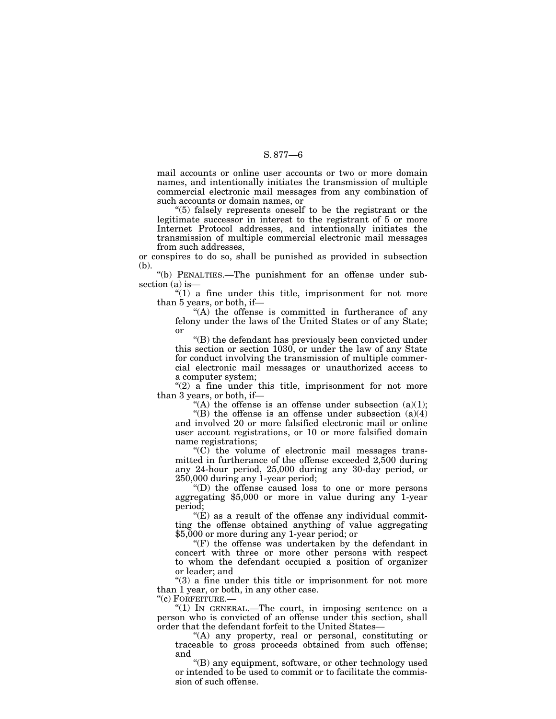mail accounts or online user accounts or two or more domain names, and intentionally initiates the transmission of multiple commercial electronic mail messages from any combination of such accounts or domain names, or

''(5) falsely represents oneself to be the registrant or the legitimate successor in interest to the registrant of 5 or more Internet Protocol addresses, and intentionally initiates the transmission of multiple commercial electronic mail messages from such addresses,

or conspires to do so, shall be punished as provided in subsection (b).

''(b) PENALTIES.—The punishment for an offense under subsection (a) is—

 $''(1)$  a fine under this title, imprisonment for not more than 5 years, or both, if—

"(A) the offense is committed in furtherance of any felony under the laws of the United States or of any State; or

''(B) the defendant has previously been convicted under this section or section 1030, or under the law of any State for conduct involving the transmission of multiple commercial electronic mail messages or unauthorized access to a computer system;

" $(2)$  a fine under this title, imprisonment for not more than 3 years, or both, if—

"(A) the offense is an offense under subsection  $(a)(1)$ ;

"(B) the offense is an offense under subsection  $(a)(4)$ and involved 20 or more falsified electronic mail or online user account registrations, or 10 or more falsified domain name registrations;

''(C) the volume of electronic mail messages transmitted in furtherance of the offense exceeded 2,500 during any 24-hour period, 25,000 during any 30-day period, or 250,000 during any 1-year period;

''(D) the offense caused loss to one or more persons aggregating \$5,000 or more in value during any 1-year period;

" $(E)$  as a result of the offense any individual committing the offense obtained anything of value aggregating \$5,000 or more during any 1-year period; or

 $f(F)$  the offense was undertaken by the defendant in concert with three or more other persons with respect to whom the defendant occupied a position of organizer or leader; and

''(3) a fine under this title or imprisonment for not more than 1 year, or both, in any other case.

''(c) FORFEITURE.—

" $(1)$  In GENERAL.—The court, in imposing sentence on a person who is convicted of an offense under this section, shall order that the defendant forfeit to the United States—

"(A) any property, real or personal, constituting or traceable to gross proceeds obtained from such offense; and

''(B) any equipment, software, or other technology used or intended to be used to commit or to facilitate the commission of such offense.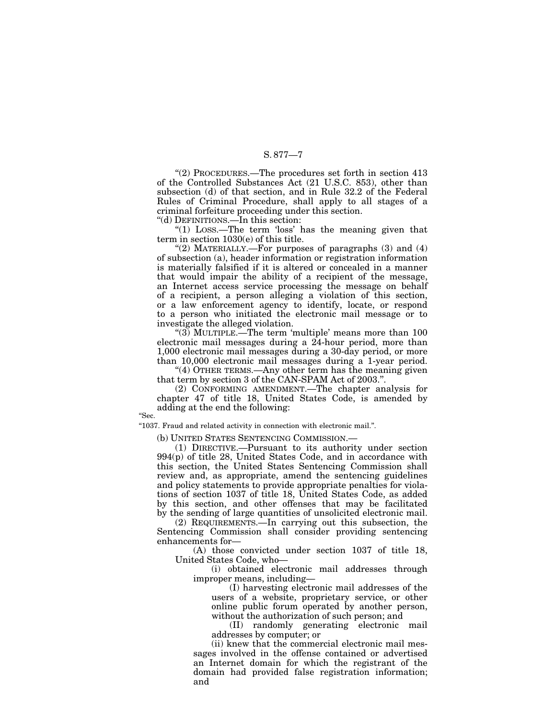''(2) PROCEDURES.—The procedures set forth in section 413 of the Controlled Substances Act (21 U.S.C. 853), other than subsection (d) of that section, and in Rule 32.2 of the Federal Rules of Criminal Procedure, shall apply to all stages of a criminal forfeiture proceeding under this section.

''(d) DEFINITIONS.—In this section:

''(1) LOSS.—The term 'loss' has the meaning given that term in section 1030(e) of this title.

"(2) MATERIALLY.—For purposes of paragraphs  $(3)$  and  $(4)$ of subsection (a), header information or registration information is materially falsified if it is altered or concealed in a manner that would impair the ability of a recipient of the message, an Internet access service processing the message on behalf of a recipient, a person alleging a violation of this section, or a law enforcement agency to identify, locate, or respond to a person who initiated the electronic mail message or to investigate the alleged violation.

" $(3)$  MULTIPLE.—The term 'multiple' means more than 100 electronic mail messages during a 24-hour period, more than 1,000 electronic mail messages during a 30-day period, or more than 10,000 electronic mail messages during a 1-year period.

"(4) OTHER TERMS.—Any other term has the meaning given that term by section 3 of the CAN-SPAM Act of 2003.''.

(2) CONFORMING AMENDMENT.—The chapter analysis for chapter 47 of title 18, United States Code, is amended by adding at the end the following:<br>"Sec.

''1037. Fraud and related activity in connection with electronic mail.''.

(b) UNITED STATES SENTENCING COMMISSION.—

(1) DIRECTIVE.—Pursuant to its authority under section 994(p) of title 28, United States Code, and in accordance with this section, the United States Sentencing Commission shall review and, as appropriate, amend the sentencing guidelines and policy statements to provide appropriate penalties for violations of section 1037 of title 18, United States Code, as added by this section, and other offenses that may be facilitated by the sending of large quantities of unsolicited electronic mail.

(2) REQUIREMENTS.—In carrying out this subsection, the Sentencing Commission shall consider providing sentencing enhancements for—

(A) those convicted under section 1037 of title 18, United States Code, who—

(i) obtained electronic mail addresses through improper means, including—

(I) harvesting electronic mail addresses of the users of a website, proprietary service, or other online public forum operated by another person, without the authorization of such person; and

(II) randomly generating electronic mail addresses by computer; or

(ii) knew that the commercial electronic mail messages involved in the offense contained or advertised an Internet domain for which the registrant of the domain had provided false registration information; and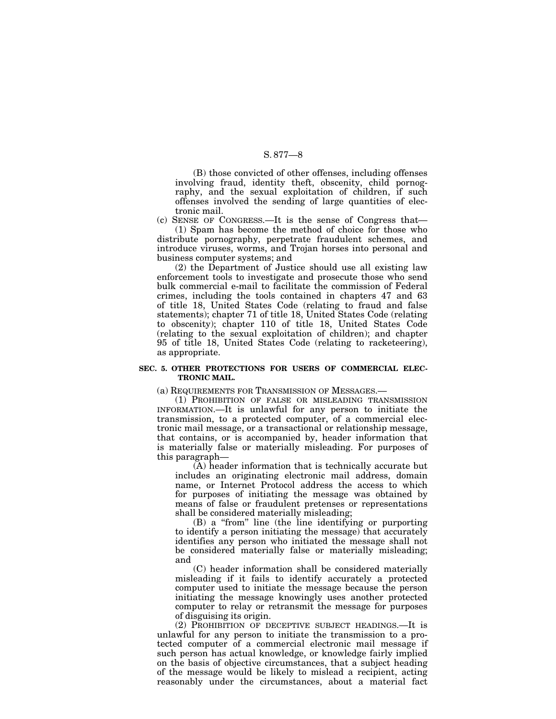(B) those convicted of other offenses, including offenses involving fraud, identity theft, obscenity, child pornography, and the sexual exploitation of children, if such offenses involved the sending of large quantities of electronic mail.

(c) SENSE OF CONGRESS.—It is the sense of Congress that—

(1) Spam has become the method of choice for those who distribute pornography, perpetrate fraudulent schemes, and introduce viruses, worms, and Trojan horses into personal and business computer systems; and

(2) the Department of Justice should use all existing law enforcement tools to investigate and prosecute those who send bulk commercial e-mail to facilitate the commission of Federal crimes, including the tools contained in chapters 47 and 63 of title 18, United States Code (relating to fraud and false statements); chapter 71 of title 18, United States Code (relating to obscenity); chapter 110 of title 18, United States Code (relating to the sexual exploitation of children); and chapter 95 of title 18, United States Code (relating to racketeering), as appropriate.

#### **SEC. 5. OTHER PROTECTIONS FOR USERS OF COMMERCIAL ELEC-TRONIC MAIL.**

(a) REQUIREMENTS FOR TRANSMISSION OF MESSAGES.—

(1) PROHIBITION OF FALSE OR MISLEADING TRANSMISSION INFORMATION.—It is unlawful for any person to initiate the transmission, to a protected computer, of a commercial electronic mail message, or a transactional or relationship message, that contains, or is accompanied by, header information that is materially false or materially misleading. For purposes of this paragraph—

(A) header information that is technically accurate but includes an originating electronic mail address, domain name, or Internet Protocol address the access to which for purposes of initiating the message was obtained by means of false or fraudulent pretenses or representations shall be considered materially misleading;

(B) a "from" line (the line identifying or purporting to identify a person initiating the message) that accurately identifies any person who initiated the message shall not be considered materially false or materially misleading; and

(C) header information shall be considered materially misleading if it fails to identify accurately a protected computer used to initiate the message because the person initiating the message knowingly uses another protected computer to relay or retransmit the message for purposes of disguising its origin.

(2) PROHIBITION OF DECEPTIVE SUBJECT HEADINGS.—It is unlawful for any person to initiate the transmission to a protected computer of a commercial electronic mail message if such person has actual knowledge, or knowledge fairly implied on the basis of objective circumstances, that a subject heading of the message would be likely to mislead a recipient, acting reasonably under the circumstances, about a material fact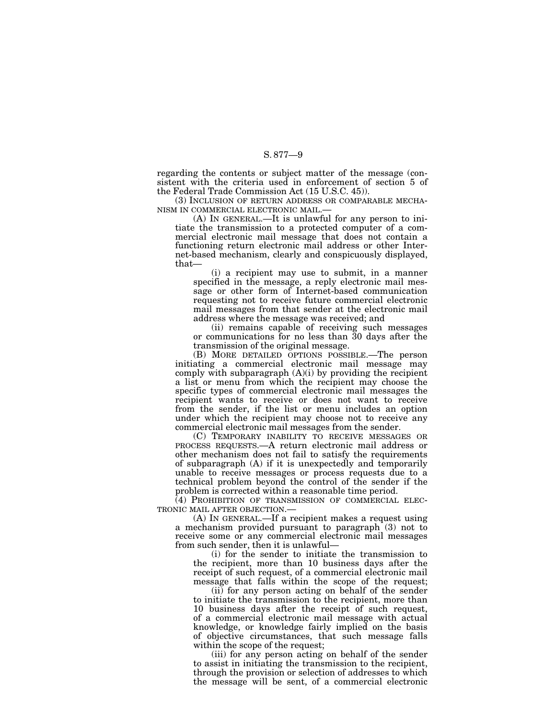regarding the contents or subject matter of the message (consistent with the criteria used in enforcement of section 5 of the Federal Trade Commission Act (15 U.S.C. 45)).

(3) INCLUSION OF RETURN ADDRESS OR COMPARABLE MECHA-NISM IN COMMERCIAL ELECTRONIC MAIL.—

(A) IN GENERAL.—It is unlawful for any person to initiate the transmission to a protected computer of a commercial electronic mail message that does not contain a functioning return electronic mail address or other Internet-based mechanism, clearly and conspicuously displayed, that—

(i) a recipient may use to submit, in a manner specified in the message, a reply electronic mail message or other form of Internet-based communication requesting not to receive future commercial electronic mail messages from that sender at the electronic mail address where the message was received; and

(ii) remains capable of receiving such messages or communications for no less than 30 days after the transmission of the original message.

(B) MORE DETAILED OPTIONS POSSIBLE.—The person initiating a commercial electronic mail message may comply with subparagraph  $(A)(i)$  by providing the recipient a list or menu from which the recipient may choose the specific types of commercial electronic mail messages the recipient wants to receive or does not want to receive from the sender, if the list or menu includes an option under which the recipient may choose not to receive any commercial electronic mail messages from the sender.

(C) TEMPORARY INABILITY TO RECEIVE MESSAGES OR PROCESS REQUESTS.—A return electronic mail address or other mechanism does not fail to satisfy the requirements of subparagraph (A) if it is unexpectedly and temporarily unable to receive messages or process requests due to a technical problem beyond the control of the sender if the problem is corrected within a reasonable time period.

(4) PROHIBITION OF TRANSMISSION OF COMMERCIAL ELEC-TRONIC MAIL AFTER OBJECTION.—

(A) IN GENERAL.—If a recipient makes a request using a mechanism provided pursuant to paragraph (3) not to receive some or any commercial electronic mail messages from such sender, then it is unlawful—

(i) for the sender to initiate the transmission to the recipient, more than 10 business days after the receipt of such request, of a commercial electronic mail message that falls within the scope of the request;

(ii) for any person acting on behalf of the sender to initiate the transmission to the recipient, more than 10 business days after the receipt of such request, of a commercial electronic mail message with actual knowledge, or knowledge fairly implied on the basis of objective circumstances, that such message falls within the scope of the request;

(iii) for any person acting on behalf of the sender to assist in initiating the transmission to the recipient, through the provision or selection of addresses to which the message will be sent, of a commercial electronic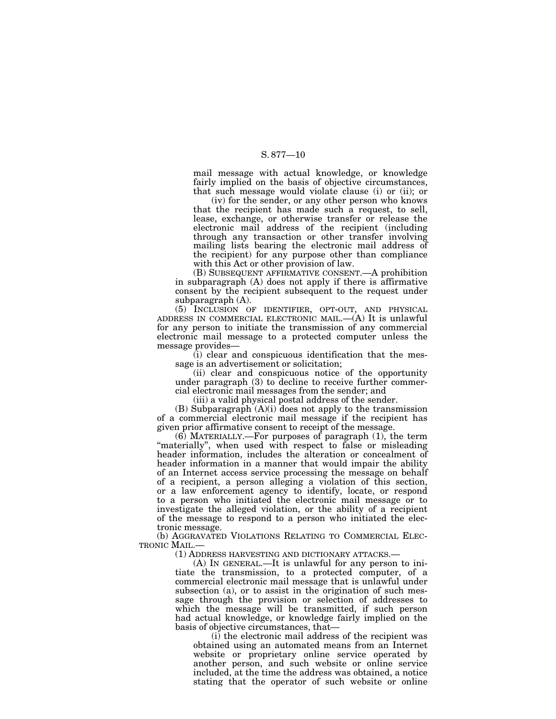mail message with actual knowledge, or knowledge fairly implied on the basis of objective circumstances, that such message would violate clause (i) or (ii); or

(iv) for the sender, or any other person who knows that the recipient has made such a request, to sell, lease, exchange, or otherwise transfer or release the electronic mail address of the recipient (including through any transaction or other transfer involving mailing lists bearing the electronic mail address of the recipient) for any purpose other than compliance with this Act or other provision of law.

(B) SUBSEQUENT AFFIRMATIVE CONSENT.—A prohibition in subparagraph (A) does not apply if there is affirmative consent by the recipient subsequent to the request under subparagraph (A).

(5) INCLUSION OF IDENTIFIER, OPT-OUT, AND PHYSICAL ADDRESS IN COMMERCIAL ELECTRONIC MAIL.—(A) It is unlawful for any person to initiate the transmission of any commercial electronic mail message to a protected computer unless the message provides—

(i) clear and conspicuous identification that the message is an advertisement or solicitation;

(ii) clear and conspicuous notice of the opportunity under paragraph (3) to decline to receive further commercial electronic mail messages from the sender; and

(iii) a valid physical postal address of the sender.

(B) Subparagraph (A)(i) does not apply to the transmission of a commercial electronic mail message if the recipient has given prior affirmative consent to receipt of the message.

 $(6)$  MATERIALLY.—For purposes of paragraph  $(1)$ , the term "materially", when used with respect to false or misleading header information, includes the alteration or concealment of header information in a manner that would impair the ability of an Internet access service processing the message on behalf of a recipient, a person alleging a violation of this section, or a law enforcement agency to identify, locate, or respond to a person who initiated the electronic mail message or to investigate the alleged violation, or the ability of a recipient of the message to respond to a person who initiated the electronic message.

(b) AGGRAVATED VIOLATIONS RELATING TO COMMERCIAL ELEC-TRONIC MAIL.-

(1) ADDRESS HARVESTING AND DICTIONARY ATTACKS.—

(A) IN GENERAL.—It is unlawful for any person to initiate the transmission, to a protected computer, of a commercial electronic mail message that is unlawful under subsection (a), or to assist in the origination of such message through the provision or selection of addresses to which the message will be transmitted, if such person had actual knowledge, or knowledge fairly implied on the basis of objective circumstances, that—

(i) the electronic mail address of the recipient was obtained using an automated means from an Internet website or proprietary online service operated by another person, and such website or online service included, at the time the address was obtained, a notice stating that the operator of such website or online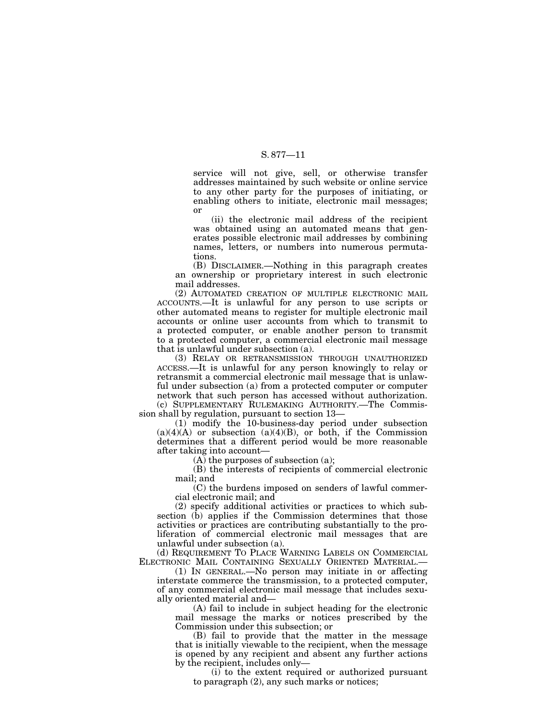service will not give, sell, or otherwise transfer addresses maintained by such website or online service to any other party for the purposes of initiating, or enabling others to initiate, electronic mail messages; or

(ii) the electronic mail address of the recipient was obtained using an automated means that generates possible electronic mail addresses by combining names, letters, or numbers into numerous permutations.

(B) DISCLAIMER.—Nothing in this paragraph creates an ownership or proprietary interest in such electronic mail addresses.

(2) AUTOMATED CREATION OF MULTIPLE ELECTRONIC MAIL ACCOUNTS.—It is unlawful for any person to use scripts or other automated means to register for multiple electronic mail accounts or online user accounts from which to transmit to a protected computer, or enable another person to transmit to a protected computer, a commercial electronic mail message that is unlawful under subsection (a).

(3) RELAY OR RETRANSMISSION THROUGH UNAUTHORIZED ACCESS.—It is unlawful for any person knowingly to relay or retransmit a commercial electronic mail message that is unlawful under subsection (a) from a protected computer or computer network that such person has accessed without authorization. (c) SUPPLEMENTARY RULEMAKING AUTHORITY.—The Commission shall by regulation, pursuant to section 13—

(1) modify the 10-business-day period under subsection  $(a)(4)(A)$  or subsection  $(a)(4)(B)$ , or both, if the Commission determines that a different period would be more reasonable after taking into account—

 $(A)$  the purposes of subsection  $(a)$ ;

(B) the interests of recipients of commercial electronic mail; and

(C) the burdens imposed on senders of lawful commercial electronic mail; and

(2) specify additional activities or practices to which subsection (b) applies if the Commission determines that those activities or practices are contributing substantially to the proliferation of commercial electronic mail messages that are unlawful under subsection (a).

(d) REQUIREMENT TO PLACE WARNING LABELS ON COMMERCIAL ELECTRONIC MAIL CONTAINING SEXUALLY ORIENTED MATERIAL.—

(1) IN GENERAL.—No person may initiate in or affecting interstate commerce the transmission, to a protected computer, of any commercial electronic mail message that includes sexually oriented material and—

(A) fail to include in subject heading for the electronic mail message the marks or notices prescribed by the Commission under this subsection; or

(B) fail to provide that the matter in the message that is initially viewable to the recipient, when the message is opened by any recipient and absent any further actions by the recipient, includes only—

(i) to the extent required or authorized pursuant to paragraph (2), any such marks or notices;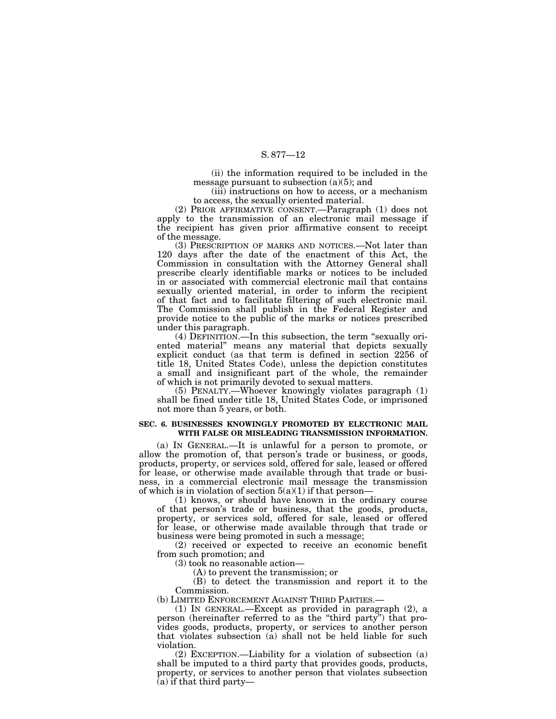(ii) the information required to be included in the message pursuant to subsection (a)(5); and

(iii) instructions on how to access, or a mechanism to access, the sexually oriented material.

(2) PRIOR AFFIRMATIVE CONSENT.—Paragraph (1) does not apply to the transmission of an electronic mail message if the recipient has given prior affirmative consent to receipt of the message.

(3) PRESCRIPTION OF MARKS AND NOTICES.—Not later than 120 days after the date of the enactment of this Act, the Commission in consultation with the Attorney General shall prescribe clearly identifiable marks or notices to be included in or associated with commercial electronic mail that contains sexually oriented material, in order to inform the recipient of that fact and to facilitate filtering of such electronic mail. The Commission shall publish in the Federal Register and provide notice to the public of the marks or notices prescribed under this paragraph.

(4) DEFINITION.—In this subsection, the term ''sexually oriented material'' means any material that depicts sexually explicit conduct (as that term is defined in section 2256 of title 18, United States Code), unless the depiction constitutes a small and insignificant part of the whole, the remainder of which is not primarily devoted to sexual matters.

(5) PENALTY.—Whoever knowingly violates paragraph (1) shall be fined under title 18, United States Code, or imprisoned not more than 5 years, or both.

#### **SEC. 6. BUSINESSES KNOWINGLY PROMOTED BY ELECTRONIC MAIL WITH FALSE OR MISLEADING TRANSMISSION INFORMATION.**

(a) IN GENERAL.—It is unlawful for a person to promote, or allow the promotion of, that person's trade or business, or goods, products, property, or services sold, offered for sale, leased or offered for lease, or otherwise made available through that trade or business, in a commercial electronic mail message the transmission of which is in violation of section  $5(a)(1)$  if that person-

(1) knows, or should have known in the ordinary course of that person's trade or business, that the goods, products, property, or services sold, offered for sale, leased or offered for lease, or otherwise made available through that trade or business were being promoted in such a message;

 $(2)$  received or expected to receive an economic benefit from such promotion; and

(3) took no reasonable action—

(A) to prevent the transmission; or

(B) to detect the transmission and report it to the Commission.

(b) LIMITED ENFORCEMENT AGAINST THIRD PARTIES.—

(1) IN GENERAL.—Except as provided in paragraph (2), a person (hereinafter referred to as the ''third party'') that provides goods, products, property, or services to another person that violates subsection (a) shall not be held liable for such violation.

(2) EXCEPTION.—Liability for a violation of subsection (a) shall be imputed to a third party that provides goods, products, property, or services to another person that violates subsection  $(a)$  if that third party—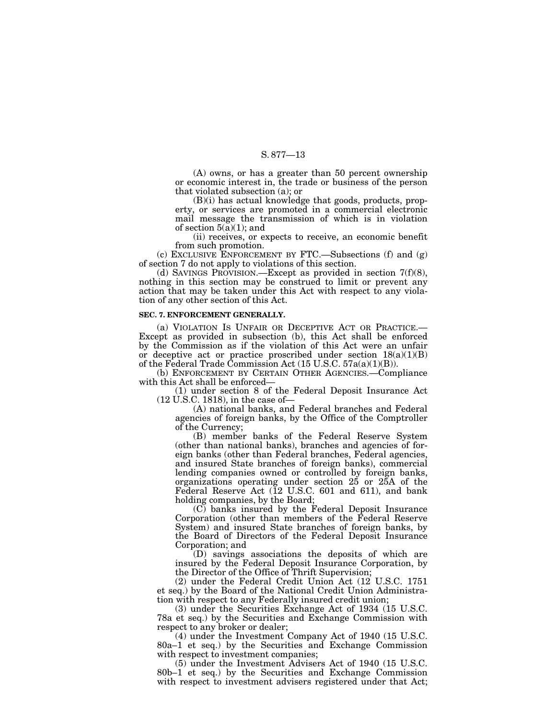(A) owns, or has a greater than 50 percent ownership or economic interest in, the trade or business of the person that violated subsection (a); or

(B)(i) has actual knowledge that goods, products, property, or services are promoted in a commercial electronic mail message the transmission of which is in violation of section  $5(\overline{a})(1)$ ; and

(ii) receives, or expects to receive, an economic benefit from such promotion.

(c) EXCLUSIVE ENFORCEMENT BY FTC.—Subsections (f) and (g) of section 7 do not apply to violations of this section.

(d) SAVINGS PROVISION.—Except as provided in section 7(f)(8), nothing in this section may be construed to limit or prevent any action that may be taken under this Act with respect to any violation of any other section of this Act.

#### **SEC. 7. ENFORCEMENT GENERALLY.**

(a) VIOLATION IS UNFAIR OR DECEPTIVE ACT OR PRACTICE.— Except as provided in subsection (b), this Act shall be enforced by the Commission as if the violation of this Act were an unfair or deceptive act or practice proscribed under section 18(a)(1)(B) of the Federal Trade Commission Act (15 U.S.C. 57a(a)(1)(B)).

(b) ENFORCEMENT BY CERTAIN OTHER AGENCIES.—Compliance with this Act shall be enforced—

(1) under section 8 of the Federal Deposit Insurance Act (12 U.S.C. 1818), in the case of—

(A) national banks, and Federal branches and Federal agencies of foreign banks, by the Office of the Comptroller of the Currency;

(B) member banks of the Federal Reserve System (other than national banks), branches and agencies of foreign banks (other than Federal branches, Federal agencies, and insured State branches of foreign banks), commercial lending companies owned or controlled by foreign banks, organizations operating under section 25 or 25A of the Federal Reserve Act (12 U.S.C. 601 and 611), and bank holding companies, by the Board;

(C) banks insured by the Federal Deposit Insurance Corporation (other than members of the Federal Reserve System) and insured State branches of foreign banks, by the Board of Directors of the Federal Deposit Insurance Corporation; and

(D) savings associations the deposits of which are insured by the Federal Deposit Insurance Corporation, by the Director of the Office of Thrift Supervision;

(2) under the Federal Credit Union Act (12 U.S.C. 1751 et seq.) by the Board of the National Credit Union Administration with respect to any Federally insured credit union;

(3) under the Securities Exchange Act of 1934 (15 U.S.C. 78a et seq.) by the Securities and Exchange Commission with respect to any broker or dealer;

(4) under the Investment Company Act of 1940 (15 U.S.C. 80a–1 et seq.) by the Securities and Exchange Commission with respect to investment companies;

(5) under the Investment Advisers Act of 1940 (15 U.S.C. 80b–1 et seq.) by the Securities and Exchange Commission with respect to investment advisers registered under that Act;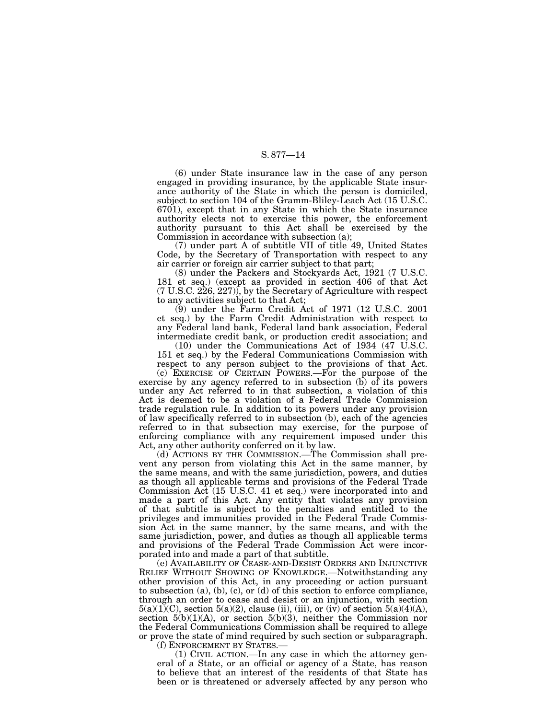(6) under State insurance law in the case of any person engaged in providing insurance, by the applicable State insurance authority of the State in which the person is domiciled, subject to section 104 of the Gramm-Bliley-Leach Act (15 U.S.C. 6701), except that in any State in which the State insurance authority elects not to exercise this power, the enforcement authority pursuant to this Act shall be exercised by the Commission in accordance with subsection (a);

(7) under part A of subtitle VII of title 49, United States Code, by the Secretary of Transportation with respect to any air carrier or foreign air carrier subject to that part;

(8) under the Packers and Stockyards Act, 1921 (7 U.S.C. 181 et seq.) (except as provided in section 406 of that Act (7 U.S.C. 226, 227)), by the Secretary of Agriculture with respect to any activities subject to that Act;

(9) under the Farm Credit Act of 1971 (12 U.S.C. 2001 et seq.) by the Farm Credit Administration with respect to any Federal land bank, Federal land bank association, Federal intermediate credit bank, or production credit association; and

(10) under the Communications Act of 1934 (47 U.S.C. 151 et seq.) by the Federal Communications Commission with respect to any person subject to the provisions of that Act. (c) EXERCISE OF CERTAIN POWERS.—For the purpose of the

exercise by any agency referred to in subsection (b) of its powers under any Act referred to in that subsection, a violation of this Act is deemed to be a violation of a Federal Trade Commission trade regulation rule. In addition to its powers under any provision of law specifically referred to in subsection (b), each of the agencies referred to in that subsection may exercise, for the purpose of enforcing compliance with any requirement imposed under this Act, any other authority conferred on it by law.

(d) ACTIONS BY THE COMMISSION.—The Commission shall prevent any person from violating this Act in the same manner, by the same means, and with the same jurisdiction, powers, and duties as though all applicable terms and provisions of the Federal Trade Commission Act (15 U.S.C. 41 et seq.) were incorporated into and made a part of this Act. Any entity that violates any provision of that subtitle is subject to the penalties and entitled to the privileges and immunities provided in the Federal Trade Commission Act in the same manner, by the same means, and with the same jurisdiction, power, and duties as though all applicable terms and provisions of the Federal Trade Commission Act were incorporated into and made a part of that subtitle.

(e) AVAILABILITY OF CEASE-AND-DESIST ORDERS AND INJUNCTIVE RELIEF WITHOUT SHOWING OF KNOWLEDGE.—Notwithstanding any other provision of this Act, in any proceeding or action pursuant to subsection (a), (b), (c), or  $(d)$  of this section to enforce compliance, through an order to cease and desist or an injunction, with section  $5(a)(1)(C)$ , section  $5(a)(2)$ , clause (ii), (iii), or (iv) of section  $5(a)(4)(A)$ , section 5(b)(1)(A), or section 5(b)(3), neither the Commission nor the Federal Communications Commission shall be required to allege or prove the state of mind required by such section or subparagraph.<br>
(f) ENFORCEMENT BY STATES.—

 $(1)$  CIVIL ACTION.—In any case in which the attorney general of a State, or an official or agency of a State, has reason to believe that an interest of the residents of that State has been or is threatened or adversely affected by any person who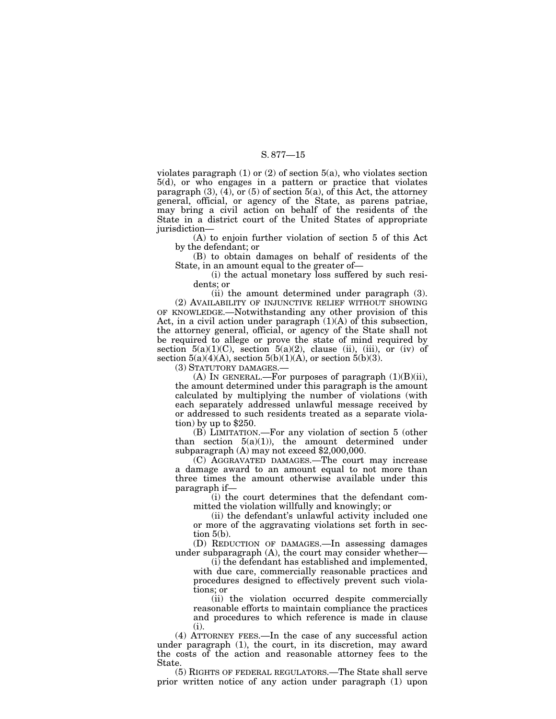violates paragraph  $(1)$  or  $(2)$  of section  $5(a)$ , who violates section 5(d), or who engages in a pattern or practice that violates paragraph  $(3)$ ,  $(4)$ , or  $(5)$  of section  $5(a)$ , of this Act, the attorney general, official, or agency of the State, as parens patriae, may bring a civil action on behalf of the residents of the State in a district court of the United States of appropriate jurisdiction—

(A) to enjoin further violation of section 5 of this Act by the defendant; or

(B) to obtain damages on behalf of residents of the State, in an amount equal to the greater of—

(i) the actual monetary loss suffered by such residents; or

(ii) the amount determined under paragraph (3). (2) AVAILABILITY OF INJUNCTIVE RELIEF WITHOUT SHOWING OF KNOWLEDGE.—Notwithstanding any other provision of this Act, in a civil action under paragraph  $(1)(A)$  of this subsection, the attorney general, official, or agency of the State shall not be required to allege or prove the state of mind required by section  $5(a)(1)(C)$ , section  $5(a)(2)$ , clause (ii), (iii), or (iv) of section  $5(a)(4)(A)$ , section  $5(b)(1)(A)$ , or section  $5(b)(3)$ .

(3) STATUTORY DAMAGES.—

(A) IN GENERAL.—For purposes of paragraph  $(1)(B)(ii)$ , the amount determined under this paragraph is the amount calculated by multiplying the number of violations (with each separately addressed unlawful message received by or addressed to such residents treated as a separate violation) by up to \$250.

(B) LIMITATION.—For any violation of section 5 (other than section  $5(a)(1)$ , the amount determined under subparagraph (A) may not exceed \$2,000,000.

(C) AGGRAVATED DAMAGES.—The court may increase a damage award to an amount equal to not more than three times the amount otherwise available under this paragraph if—

(i) the court determines that the defendant committed the violation willfully and knowingly; or

(ii) the defendant's unlawful activity included one or more of the aggravating violations set forth in section 5(b).

(D) REDUCTION OF DAMAGES.—In assessing damages under subparagraph (A), the court may consider whether—

(i) the defendant has established and implemented, with due care, commercially reasonable practices and procedures designed to effectively prevent such violations; or

(ii) the violation occurred despite commercially reasonable efforts to maintain compliance the practices and procedures to which reference is made in clause (i).

(4) ATTORNEY FEES.—In the case of any successful action under paragraph (1), the court, in its discretion, may award the costs of the action and reasonable attorney fees to the State.

(5) RIGHTS OF FEDERAL REGULATORS.—The State shall serve prior written notice of any action under paragraph (1) upon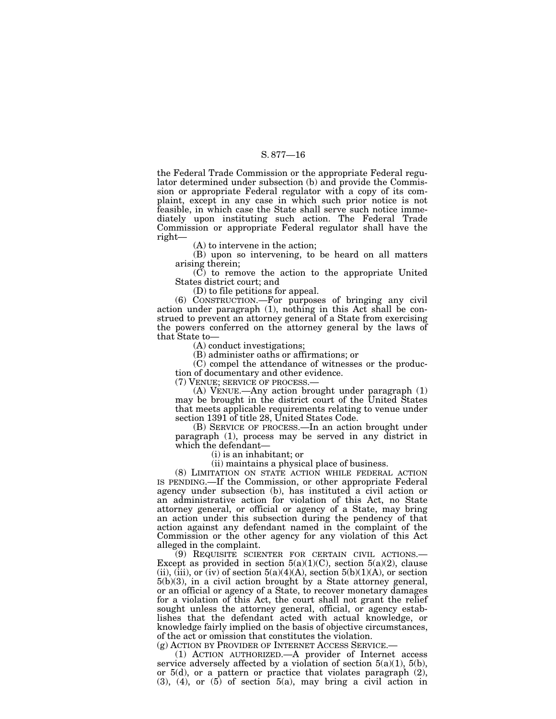the Federal Trade Commission or the appropriate Federal regulator determined under subsection (b) and provide the Commission or appropriate Federal regulator with a copy of its complaint, except in any case in which such prior notice is not feasible, in which case the State shall serve such notice immediately upon instituting such action. The Federal Trade Commission or appropriate Federal regulator shall have the right—

(A) to intervene in the action;

(B) upon so intervening, to be heard on all matters arising therein;

(C) to remove the action to the appropriate United States district court; and

(D) to file petitions for appeal.

(6) CONSTRUCTION.—For purposes of bringing any civil action under paragraph (1), nothing in this Act shall be construed to prevent an attorney general of a State from exercising the powers conferred on the attorney general by the laws of that State to—

(A) conduct investigations;

(B) administer oaths or affirmations; or

(C) compel the attendance of witnesses or the production of documentary and other evidence.

(7) VENUE; SERVICE OF PROCESS.—

(A) VENUE.—Any action brought under paragraph (1) may be brought in the district court of the United States that meets applicable requirements relating to venue under section 1391 of title 28, United States Code.

(B) SERVICE OF PROCESS.—In an action brought under paragraph (1), process may be served in any district in which the defendant—

(i) is an inhabitant; or

(ii) maintains a physical place of business.

(8) LIMITATION ON STATE ACTION WHILE FEDERAL ACTION IS PENDING.—If the Commission, or other appropriate Federal agency under subsection (b), has instituted a civil action or an administrative action for violation of this Act, no State attorney general, or official or agency of a State, may bring an action under this subsection during the pendency of that action against any defendant named in the complaint of the Commission or the other agency for any violation of this Act alleged in the complaint.

(9) REQUISITE SCIENTER FOR CERTAIN CIVIL ACTIONS.— Except as provided in section  $5(a)(1)(C)$ , section  $5(a)(2)$ , clause (ii), (iii), or (iv) of section  $5(a)(4)(A)$ , section  $5(b)(1)(A)$ , or section 5(b)(3), in a civil action brought by a State attorney general, or an official or agency of a State, to recover monetary damages for a violation of this Act, the court shall not grant the relief sought unless the attorney general, official, or agency establishes that the defendant acted with actual knowledge, or knowledge fairly implied on the basis of objective circumstances, of the act or omission that constitutes the violation.<br>(g) ACTION BY PROVIDER OF INTERNET ACCESS SERVICE.—

(1) ACTION AUTHORIZED.—A provider of Internet access service adversely affected by a violation of section  $5(a)(1)$ ,  $5(b)$ , or 5(d), or a pattern or practice that violates paragraph (2),  $(3)$ ,  $(4)$ , or  $(5)$  of section  $5(a)$ , may bring a civil action in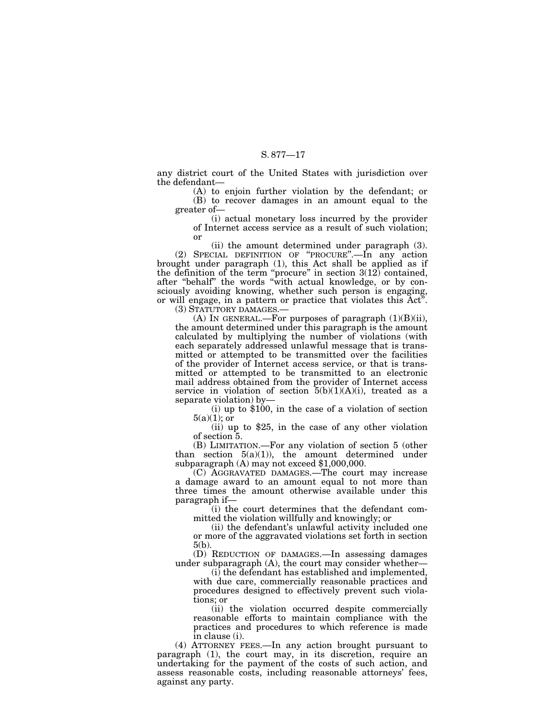any district court of the United States with jurisdiction over the defendant—

(A) to enjoin further violation by the defendant; or (B) to recover damages in an amount equal to the greater of—

(i) actual monetary loss incurred by the provider of Internet access service as a result of such violation; or

(ii) the amount determined under paragraph (3). (2) SPECIAL DEFINITION OF ''PROCURE''.—In any action brought under paragraph (1), this Act shall be applied as if the definition of the term ''procure'' in section 3(12) contained, after ''behalf'' the words ''with actual knowledge, or by consciously avoiding knowing, whether such person is engaging, or will engage, in a pattern or practice that violates this Act".

(3) STATUTORY DAMAGES.—

(A) IN GENERAL.—For purposes of paragraph  $(1)(B)(ii)$ , the amount determined under this paragraph is the amount calculated by multiplying the number of violations (with each separately addressed unlawful message that is transmitted or attempted to be transmitted over the facilities of the provider of Internet access service, or that is transmitted or attempted to be transmitted to an electronic mail address obtained from the provider of Internet access service in violation of section  $\bar{5}(b)(1)(A)(i)$ , treated as a separate violation) by—

(i) up to \$100, in the case of a violation of section  $5(a)(1)$ ; or

(ii) up to \$25, in the case of any other violation of section 5.

(B) LIMITATION.—For any violation of section 5 (other than section  $5(a)(1)$ , the amount determined under subparagraph (A) may not exceed \$1,000,000.

(C) AGGRAVATED DAMAGES.—The court may increase a damage award to an amount equal to not more than three times the amount otherwise available under this paragraph if—

(i) the court determines that the defendant committed the violation willfully and knowingly; or

(ii) the defendant's unlawful activity included one or more of the aggravated violations set forth in section 5(b).

(D) REDUCTION OF DAMAGES.—In assessing damages under subparagraph (A), the court may consider whether—

(i) the defendant has established and implemented, with due care, commercially reasonable practices and procedures designed to effectively prevent such violations; or

(ii) the violation occurred despite commercially reasonable efforts to maintain compliance with the practices and procedures to which reference is made in clause (i).

(4) ATTORNEY FEES.—In any action brought pursuant to paragraph (1), the court may, in its discretion, require an undertaking for the payment of the costs of such action, and assess reasonable costs, including reasonable attorneys' fees, against any party.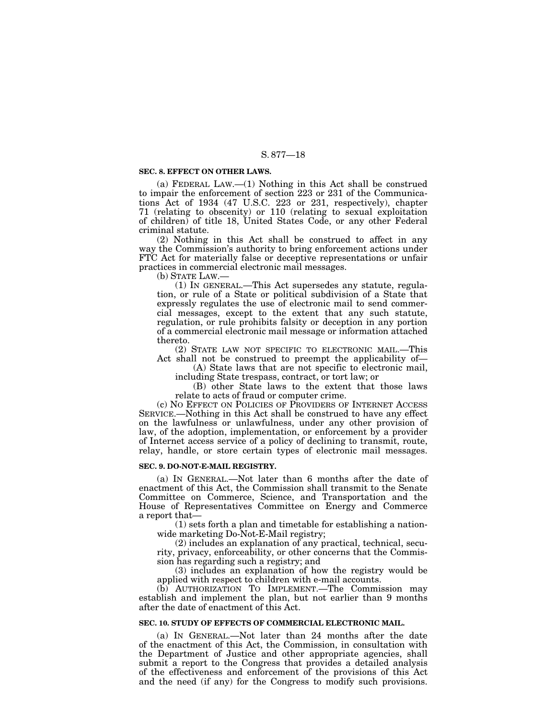#### **SEC. 8. EFFECT ON OTHER LAWS.**

(a) FEDERAL LAW.—(1) Nothing in this Act shall be construed to impair the enforcement of section 223 or 231 of the Communications Act of 1934 (47 U.S.C. 223 or 231, respectively), chapter 71 (relating to obscenity) or 110 (relating to sexual exploitation of children) of title 18, United States Code, or any other Federal criminal statute.

(2) Nothing in this Act shall be construed to affect in any way the Commission's authority to bring enforcement actions under FTC Act for materially false or deceptive representations or unfair practices in commercial electronic mail messages.

(b) STATE LAW.—

(1) IN GENERAL.—This Act supersedes any statute, regulation, or rule of a State or political subdivision of a State that expressly regulates the use of electronic mail to send commercial messages, except to the extent that any such statute, regulation, or rule prohibits falsity or deception in any portion of a commercial electronic mail message or information attached thereto.

(2) STATE LAW NOT SPECIFIC TO ELECTRONIC MAIL.—This Act shall not be construed to preempt the applicability of—

(A) State laws that are not specific to electronic mail, including State trespass, contract, or tort law; or

(B) other State laws to the extent that those laws relate to acts of fraud or computer crime.

(c) NO EFFECT ON POLICIES OF PROVIDERS OF INTERNET ACCESS SERVICE.—Nothing in this Act shall be construed to have any effect on the lawfulness or unlawfulness, under any other provision of law, of the adoption, implementation, or enforcement by a provider of Internet access service of a policy of declining to transmit, route, relay, handle, or store certain types of electronic mail messages.

#### **SEC. 9. DO-NOT-E-MAIL REGISTRY.**

(a) IN GENERAL.—Not later than 6 months after the date of enactment of this Act, the Commission shall transmit to the Senate Committee on Commerce, Science, and Transportation and the House of Representatives Committee on Energy and Commerce a report that—

(1) sets forth a plan and timetable for establishing a nationwide marketing Do-Not-E-Mail registry;

(2) includes an explanation of any practical, technical, security, privacy, enforceability, or other concerns that the Commission has regarding such a registry; and

(3) includes an explanation of how the registry would be applied with respect to children with e-mail accounts.

(b) AUTHORIZATION TO IMPLEMENT.—The Commission may establish and implement the plan, but not earlier than 9 months after the date of enactment of this Act.

#### **SEC. 10. STUDY OF EFFECTS OF COMMERCIAL ELECTRONIC MAIL.**

(a) IN GENERAL.—Not later than 24 months after the date of the enactment of this Act, the Commission, in consultation with the Department of Justice and other appropriate agencies, shall submit a report to the Congress that provides a detailed analysis of the effectiveness and enforcement of the provisions of this Act and the need (if any) for the Congress to modify such provisions.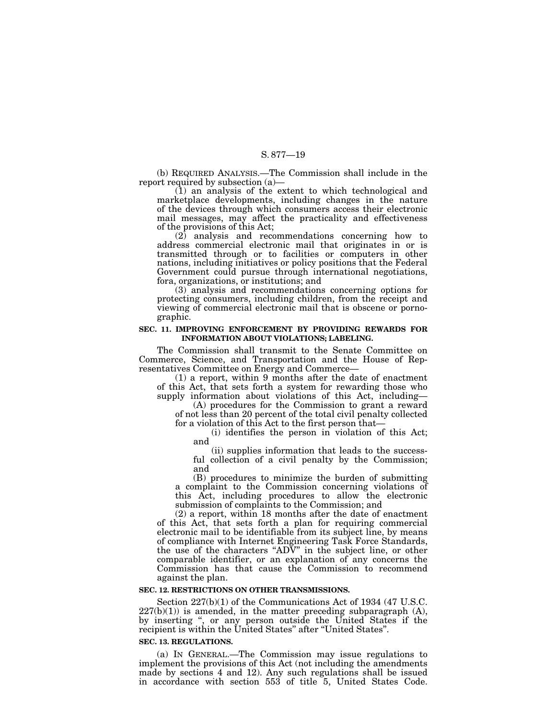(b) REQUIRED ANALYSIS.—The Commission shall include in the report required by subsection  $(a)$ —

 $(1)$  an analysis of the extent to which technological and marketplace developments, including changes in the nature of the devices through which consumers access their electronic mail messages, may affect the practicality and effectiveness of the provisions of this Act;

(2) analysis and recommendations concerning how to address commercial electronic mail that originates in or is transmitted through or to facilities or computers in other nations, including initiatives or policy positions that the Federal Government could pursue through international negotiations, fora, organizations, or institutions; and

(3) analysis and recommendations concerning options for protecting consumers, including children, from the receipt and viewing of commercial electronic mail that is obscene or pornographic.

#### **SEC. 11. IMPROVING ENFORCEMENT BY PROVIDING REWARDS FOR INFORMATION ABOUT VIOLATIONS; LABELING.**

The Commission shall transmit to the Senate Committee on Commerce, Science, and Transportation and the House of Representatives Committee on Energy and Commerce—

(1) a report, within 9 months after the date of enactment of this Act, that sets forth a system for rewarding those who supply information about violations of this Act, including-

(A) procedures for the Commission to grant a reward of not less than 20 percent of the total civil penalty collected for a violation of this Act to the first person that—

(i) identifies the person in violation of this Act; and

(ii) supplies information that leads to the successful collection of a civil penalty by the Commission; and

(B) procedures to minimize the burden of submitting a complaint to the Commission concerning violations of this Act, including procedures to allow the electronic submission of complaints to the Commission; and

(2) a report, within 18 months after the date of enactment of this Act, that sets forth a plan for requiring commercial electronic mail to be identifiable from its subject line, by means of compliance with Internet Engineering Task Force Standards, the use of the characters ''ADV'' in the subject line, or other comparable identifier, or an explanation of any concerns the Commission has that cause the Commission to recommend against the plan.

#### **SEC. 12. RESTRICTIONS ON OTHER TRANSMISSIONS.**

Section  $227(b)(1)$  of the Communications Act of 1934 (47 U.S.C.  $227(b)(1)$  is amended, in the matter preceding subparagraph  $(A)$ , by inserting '', or any person outside the United States if the recipient is within the United States'' after ''United States''.

#### **SEC. 13. REGULATIONS.**

(a) IN GENERAL.—The Commission may issue regulations to implement the provisions of this Act (not including the amendments made by sections 4 and 12). Any such regulations shall be issued in accordance with section 553 of title 5, United States Code.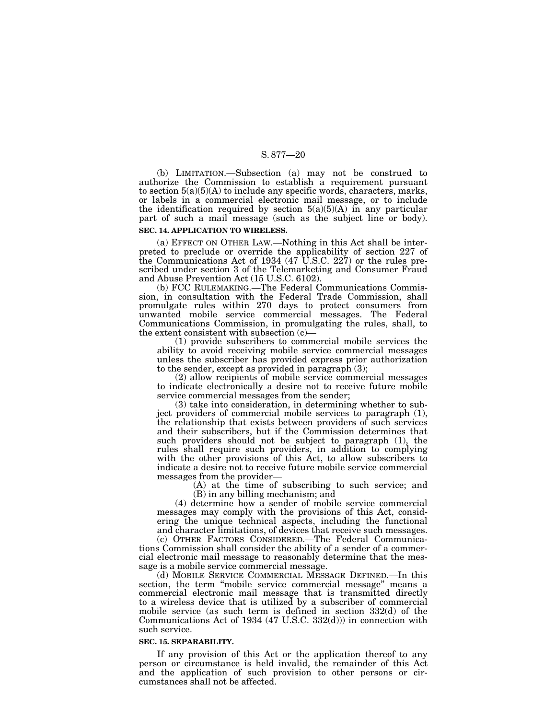(b) LIMITATION.—Subsection (a) may not be construed to authorize the Commission to establish a requirement pursuant to section  $5(a)(5)(A)$  to include any specific words, characters, marks, or labels in a commercial electronic mail message, or to include the identification required by section  $5(a)(5)(A)$  in any particular part of such a mail message (such as the subject line or body).

## **SEC. 14. APPLICATION TO WIRELESS.**

(a) EFFECT ON OTHER LAW.—Nothing in this Act shall be interpreted to preclude or override the applicability of section 227 of the Communications Act of 1934 (47 U.S.C. 227) or the rules prescribed under section 3 of the Telemarketing and Consumer Fraud and Abuse Prevention Act (15 U.S.C. 6102).

(b) FCC RULEMAKING.—The Federal Communications Commission, in consultation with the Federal Trade Commission, shall promulgate rules within 270 days to protect consumers from unwanted mobile service commercial messages. The Federal Communications Commission, in promulgating the rules, shall, to the extent consistent with subsection  $(c)$ —

 $(1)$  provide subscribers to commercial mobile services the ability to avoid receiving mobile service commercial messages unless the subscriber has provided express prior authorization to the sender, except as provided in paragraph (3);

(2) allow recipients of mobile service commercial messages to indicate electronically a desire not to receive future mobile service commercial messages from the sender;

(3) take into consideration, in determining whether to subject providers of commercial mobile services to paragraph (1), the relationship that exists between providers of such services and their subscribers, but if the Commission determines that such providers should not be subject to paragraph (1), the rules shall require such providers, in addition to complying with the other provisions of this Act, to allow subscribers to indicate a desire not to receive future mobile service commercial messages from the provider—<br>(A) at the time of subscribing to such service; and

(B) in any billing mechanism; and

(4) determine how a sender of mobile service commercial messages may comply with the provisions of this Act, considering the unique technical aspects, including the functional and character limitations, of devices that receive such messages.

(c) OTHER FACTORS CONSIDERED.—The Federal Communications Commission shall consider the ability of a sender of a commercial electronic mail message to reasonably determine that the message is a mobile service commercial message.

(d) MOBILE SERVICE COMMERCIAL MESSAGE DEFINED.—In this section, the term "mobile service commercial message" means a commercial electronic mail message that is transmitted directly to a wireless device that is utilized by a subscriber of commercial mobile service (as such term is defined in section 332(d) of the Communications Act of 1934 (47 U.S.C. 332(d))) in connection with such service.

#### **SEC. 15. SEPARABILITY.**

If any provision of this Act or the application thereof to any person or circumstance is held invalid, the remainder of this Act and the application of such provision to other persons or circumstances shall not be affected.